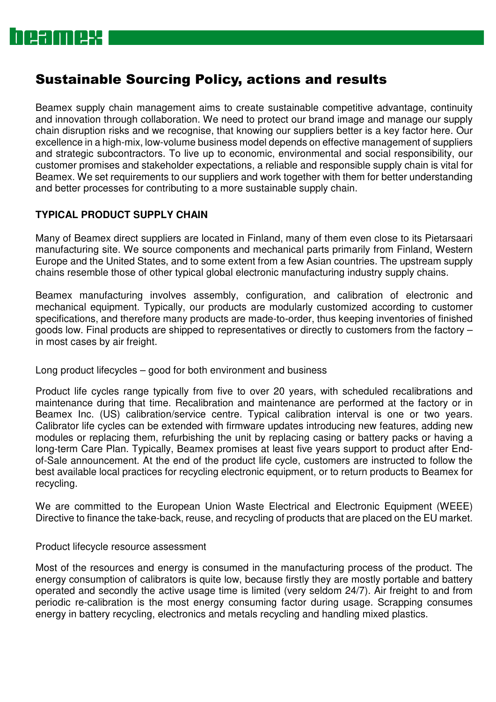### Sustainable Sourcing Policy, actions and results

Beamex supply chain management aims to create sustainable competitive advantage, continuity and innovation through collaboration. We need to protect our brand image and manage our supply chain disruption risks and we recognise, that knowing our suppliers better is a key factor here. Our excellence in a high-mix, low-volume business model depends on effective management of suppliers and strategic subcontractors. To live up to economic, environmental and social responsibility, our customer promises and stakeholder expectations, a reliable and responsible supply chain is vital for Beamex. We set requirements to our suppliers and work together with them for better understanding and better processes for contributing to a more sustainable supply chain.

#### **TYPICAL PRODUCT SUPPLY CHAIN**

Many of Beamex direct suppliers are located in Finland, many of them even close to its Pietarsaari manufacturing site. We source components and mechanical parts primarily from Finland, Western Europe and the United States, and to some extent from a few Asian countries. The upstream supply chains resemble those of other typical global electronic manufacturing industry supply chains.

Beamex manufacturing involves assembly, configuration, and calibration of electronic and mechanical equipment. Typically, our products are modularly customized according to customer specifications, and therefore many products are made-to-order, thus keeping inventories of finished goods low. Final products are shipped to representatives or directly to customers from the factory – in most cases by air freight.

Long product lifecycles – good for both environment and business

Product life cycles range typically from five to over 20 years, with scheduled recalibrations and maintenance during that time. Recalibration and maintenance are performed at the factory or in Beamex Inc. (US) calibration/service centre. Typical calibration interval is one or two years. Calibrator life cycles can be extended with firmware updates introducing new features, adding new modules or replacing them, refurbishing the unit by replacing casing or battery packs or having a long-term Care Plan. Typically, Beamex promises at least five years support to product after Endof-Sale announcement. At the end of the product life cycle, customers are instructed to follow the best available local practices for recycling electronic equipment, or to return products to Beamex for recycling.

We are committed to the European Union Waste Electrical and Electronic Equipment (WEEE) Directive to finance the take-back, reuse, and recycling of products that are placed on the EU market.

#### Product lifecycle resource assessment

Most of the resources and energy is consumed in the manufacturing process of the product. The energy consumption of calibrators is quite low, because firstly they are mostly portable and battery operated and secondly the active usage time is limited (very seldom 24/7). Air freight to and from periodic re-calibration is the most energy consuming factor during usage. Scrapping consumes energy in battery recycling, electronics and metals recycling and handling mixed plastics.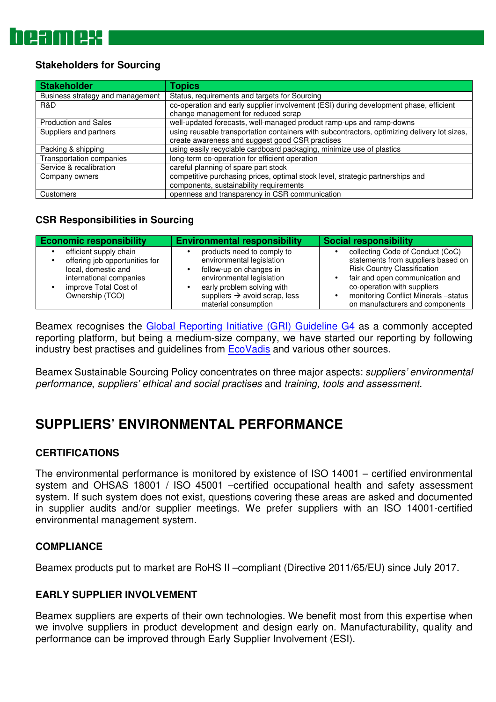#### **Stakeholders for Sourcing**

| Stakeholder                      | <b>Topics</b>                                                                                |  |  |  |  |
|----------------------------------|----------------------------------------------------------------------------------------------|--|--|--|--|
| Business strategy and management | Status, requirements and targets for Sourcing                                                |  |  |  |  |
| R&D                              | co-operation and early supplier involvement (ESI) during development phase, efficient        |  |  |  |  |
|                                  | change management for reduced scrap                                                          |  |  |  |  |
| <b>Production and Sales</b>      | well-updated forecasts, well-managed product ramp-ups and ramp-downs                         |  |  |  |  |
| Suppliers and partners           | using reusable transportation containers with subcontractors, optimizing delivery lot sizes, |  |  |  |  |
|                                  | create awareness and suggest good CSR practises                                              |  |  |  |  |
| Packing & shipping               | using easily recyclable cardboard packaging, minimize use of plastics                        |  |  |  |  |
| Transportation companies         | long-term co-operation for efficient operation                                               |  |  |  |  |
| Service & recalibration          | careful planning of spare part stock                                                         |  |  |  |  |
| Company owners                   | competitive purchasing prices, optimal stock level, strategic partnerships and               |  |  |  |  |
|                                  | components, sustainability requirements                                                      |  |  |  |  |
| Customers                        | openness and transparency in CSR communication                                               |  |  |  |  |

#### **CSR Responsibilities in Sourcing**

| <b>Economic responsibility</b>                                                                                                                         | <b>Environmental responsibility</b>                                                                                                                                                                                | <b>Social responsibility</b>                                                                                                                                                                                                                              |  |  |
|--------------------------------------------------------------------------------------------------------------------------------------------------------|--------------------------------------------------------------------------------------------------------------------------------------------------------------------------------------------------------------------|-----------------------------------------------------------------------------------------------------------------------------------------------------------------------------------------------------------------------------------------------------------|--|--|
| efficient supply chain<br>offering job opportunities for<br>local, domestic and<br>international companies<br>improve Total Cost of<br>Ownership (TCO) | products need to comply to<br>environmental legislation<br>follow-up on changes in<br>environmental legislation<br>early problem solving with<br>suppliers $\rightarrow$ avoid scrap, less<br>material consumption | collecting Code of Conduct (CoC)<br>statements from suppliers based on<br><b>Risk Country Classification</b><br>fair and open communication and<br>co-operation with suppliers<br>monitoring Conflict Minerals -status<br>on manufacturers and components |  |  |

Beamex recognises the Global Reporting Initiative (GRI) Guideline G4 as a commonly accepted reporting platform, but being a medium-size company, we have started our reporting by following industry best practises and guidelines from EcoVadis and various other sources.

Beamex Sustainable Sourcing Policy concentrates on three major aspects: suppliers' environmental performance, suppliers' ethical and social practises and training, tools and assessment.

### **SUPPLIERS' ENVIRONMENTAL PERFORMANCE**

#### **CERTIFICATIONS**

The environmental performance is monitored by existence of ISO 14001 – certified environmental system and OHSAS 18001 / ISO 45001 –certified occupational health and safety assessment system. If such system does not exist, questions covering these areas are asked and documented in supplier audits and/or supplier meetings. We prefer suppliers with an ISO 14001-certified environmental management system.

#### **COMPLIANCE**

Beamex products put to market are RoHS II –compliant (Directive 2011/65/EU) since July 2017.

#### **EARLY SUPPLIER INVOLVEMENT**

Beamex suppliers are experts of their own technologies. We benefit most from this expertise when we involve suppliers in product development and design early on. Manufacturability, quality and performance can be improved through Early Supplier Involvement (ESI).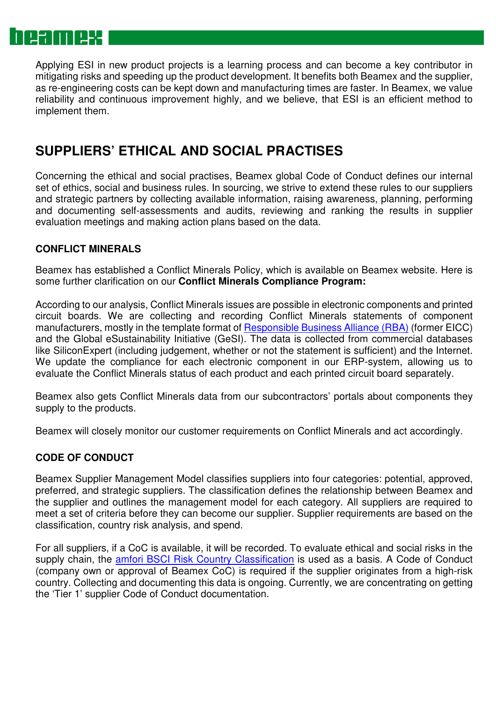# NQX

Applying ESI in new product projects is a learning process and can become a key contributor in mitigating risks and speeding up the product development. It benefits both Beamex and the supplier, as re-engineering costs can be kept down and manufacturing times are faster. In Beamex, we value reliability and continuous improvement highly, and we believe, that ESI is an efficient method to implement them.

### **SUPPLIERS' ETHICAL AND SOCIAL PRACTISES**

Concerning the ethical and social practises, Beamex global Code of Conduct defines our internal set of ethics, social and business rules. In sourcing, we strive to extend these rules to our suppliers and strategic partners by collecting available information, raising awareness, planning, performing and documenting self-assessments and audits, reviewing and ranking the results in supplier evaluation meetings and making action plans based on the data.

#### **CONFLICT MINERALS**

Beamex has established a Conflict Minerals Policy, which is available on Beamex website. Here is some further clarification on our **Conflict Minerals Compliance Program:**

According to our analysis, Conflict Minerals issues are possible in electronic components and printed circuit boards. We are collecting and recording Conflict Minerals statements of component manufacturers, mostly in the template format of Responsible Business Alliance (RBA) (former EICC) and the Global eSustainability Initiative (GeSI). The data is collected from commercial databases like SiliconExpert (including judgement, whether or not the statement is sufficient) and the Internet. We update the compliance for each electronic component in our ERP-system, allowing us to evaluate the Conflict Minerals status of each product and each printed circuit board separately.

Beamex also gets Conflict Minerals data from our subcontractors' portals about components they supply to the products.

Beamex will closely monitor our customer requirements on Conflict Minerals and act accordingly.

#### **CODE OF CONDUCT**

Beamex Supplier Management Model classifies suppliers into four categories: potential, approved, preferred, and strategic suppliers. The classification defines the relationship between Beamex and the supplier and outlines the management model for each category. All suppliers are required to meet a set of criteria before they can become our supplier. Supplier requirements are based on the classification, country risk analysis, and spend.

For all suppliers, if a CoC is available, it will be recorded. To evaluate ethical and social risks in the supply chain, the **amfori BSCI Risk Country Classification** is used as a basis. A Code of Conduct (company own or approval of Beamex CoC) is required if the supplier originates from a high-risk country. Collecting and documenting this data is ongoing. Currently, we are concentrating on getting the 'Tier 1' supplier Code of Conduct documentation.